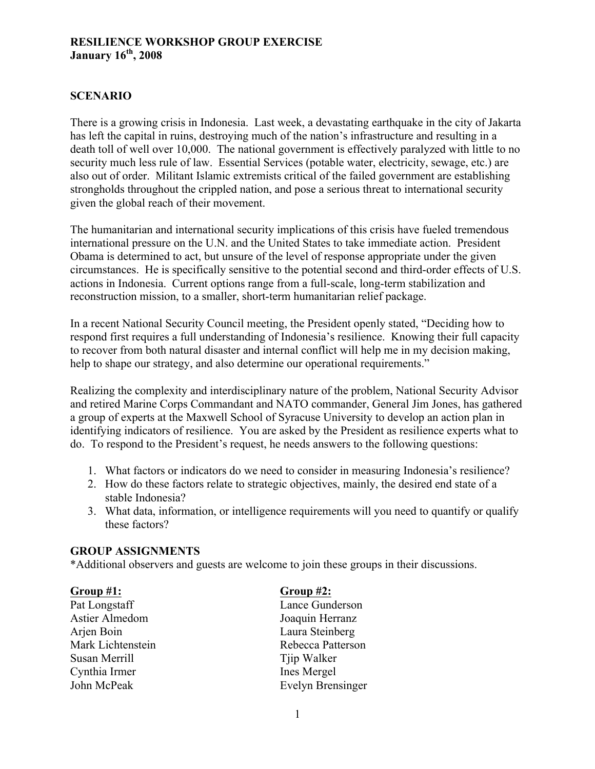# **RESILIENCE WORKSHOP GROUP EXERCISE January 16th, 2008**

# **SCENARIO**

There is a growing crisis in Indonesia. Last week, a devastating earthquake in the city of Jakarta has left the capital in ruins, destroying much of the nation's infrastructure and resulting in a death toll of well over 10,000. The national government is effectively paralyzed with little to no security much less rule of law. Essential Services (potable water, electricity, sewage, etc.) are also out of order. Militant Islamic extremists critical of the failed government are establishing strongholds throughout the crippled nation, and pose a serious threat to international security given the global reach of their movement.

The humanitarian and international security implications of this crisis have fueled tremendous international pressure on the U.N. and the United States to take immediate action. President Obama is determined to act, but unsure of the level of response appropriate under the given circumstances. He is specifically sensitive to the potential second and third-order effects of U.S. actions in Indonesia. Current options range from a full-scale, long-term stabilization and reconstruction mission, to a smaller, short-term humanitarian relief package.

In a recent National Security Council meeting, the President openly stated, "Deciding how to respond first requires a full understanding of Indonesia's resilience. Knowing their full capacity to recover from both natural disaster and internal conflict will help me in my decision making, help to shape our strategy, and also determine our operational requirements."

Realizing the complexity and interdisciplinary nature of the problem, National Security Advisor and retired Marine Corps Commandant and NATO commander, General Jim Jones, has gathered a group of experts at the Maxwell School of Syracuse University to develop an action plan in identifying indicators of resilience. You are asked by the President as resilience experts what to do. To respond to the President's request, he needs answers to the following questions:

- 1. What factors or indicators do we need to consider in measuring Indonesia's resilience?
- 2. How do these factors relate to strategic objectives, mainly, the desired end state of a stable Indonesia?
- 3. What data, information, or intelligence requirements will you need to quantify or qualify these factors?

### **GROUP ASSIGNMENTS**

\*Additional observers and guests are welcome to join these groups in their discussions.

**Group #1: Group #2:** Pat Longstaff Lance Gunderson Astier Almedom Joaquin Herranz Arjen Boin Laura Steinberg Susan Merrill Tip Walker Cynthia Irmer Ines Mergel

Mark Lichtenstein Rebecca Patterson John McPeak Evelyn Brensinger